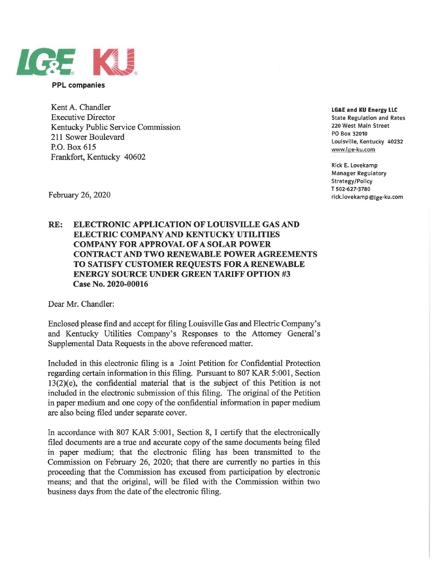

**PPL companies** 

Kent A. Chandler Executive Director Kentucky Public Service Commission 211 Sower Boulevard P.O. Box 615 Frankfort, Kentucky 40602

**LG&E and KU Energy LLC**  State Regulation and Rates 220 West Main Street PO Box 32010 Louisville, Kentucky 40232 www.lge-ku.com

Rick E. Lovekamp Manager Regulatory Strategy/Policy T 502-627-3780 rick.lovekamp@lge-ku.com

February 26, 2020

## **RE: ELECTRONIC APPLICATION OF LOUISVILLE GAS AND ELECTRIC COMPANY AND KENTUCKY UTILITIES COMPANY FOR APPROVAL OF A SOLAR POWER CONTRACT AND TWO RENEWABLE POWER AGREEMENTS TO SATISFY CUSTOMER REQUESTS FOR A RENEWABLE ENERGY SOURCE UNDER GREEN TARIFF OPTION #3 Case No. 2020-00016**

Dear Mr. Chandler:

Enclosed please find and accept for filing Louisville Gas and Electric Company's and Kentucky Utilities Company's Responses to the Attorney General's Supplemental Data Requests in the above referenced matter.

Included in this electronic filing is a Joint Petition for Confidential Protection regarding certain information in this filing. Pursuant to 807 KAR 5:001, Section 13(2)(e), the confidential material that is the subject of this Petition is not included in the electronic submission of this filing. The original of the Petition in paper medium and one copy of the confidential information in paper medium are also being filed under separate cover.

In accordance with 807 KAR 5:001, Section 8, I certify that the electronically filed documents are a true and accurate copy of the same documents being filed in paper medium; that the electronic filing has been transmitted to the Commission on February 26, 2020; that there are currently no parties in this proceeding that the Commission has excused from participation by electronic means; and that the original, will be filed with the Commission within two business days from the date of the electronic filing.